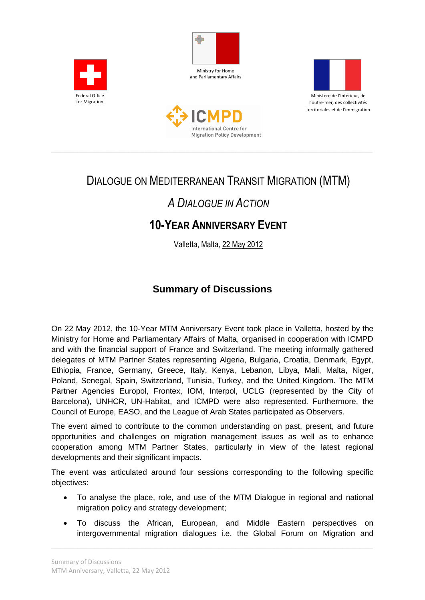







\_\_\_\_\_\_\_\_\_\_\_\_\_\_\_\_\_\_\_\_\_\_\_\_\_\_\_\_\_\_\_\_\_\_\_\_\_\_\_\_\_\_\_\_\_\_\_\_\_\_\_\_\_\_\_\_\_\_\_\_\_\_\_\_\_\_\_\_\_\_\_\_\_\_\_

# DIALOGUE ON MEDITERRANEAN TRANSIT MIGRATION (MTM)

# *A DIALOGUE IN ACTION*

# **10-YEAR ANNIVERSARY EVENT**

Valletta, Malta, 22 May 2012

## **Summary of Discussions**

On 22 May 2012, the 10-Year MTM Anniversary Event took place in Valletta, hosted by the Ministry for Home and Parliamentary Affairs of Malta, organised in cooperation with ICMPD and with the financial support of France and Switzerland. The meeting informally gathered delegates of MTM Partner States representing Algeria, Bulgaria, Croatia, Denmark, Egypt, Ethiopia, France, Germany, Greece, Italy, Kenya, Lebanon, Libya, Mali, Malta, Niger, Poland, Senegal, Spain, Switzerland, Tunisia, Turkey, and the United Kingdom. The MTM Partner Agencies Europol, Frontex, IOM, Interpol, UCLG (represented by the City of Barcelona), UNHCR, UN-Habitat, and ICMPD were also represented. Furthermore, the Council of Europe, EASO, and the League of Arab States participated as Observers.

The event aimed to contribute to the common understanding on past, present, and future opportunities and challenges on migration management issues as well as to enhance cooperation among MTM Partner States, particularly in view of the latest regional developments and their significant impacts.

The event was articulated around four sessions corresponding to the following specific objectives:

- To analyse the place, role, and use of the MTM Dialogue in regional and national migration policy and strategy development;
- To discuss the African, European, and Middle Eastern perspectives on intergovernmental migration dialogues i.e. the Global Forum on Migration and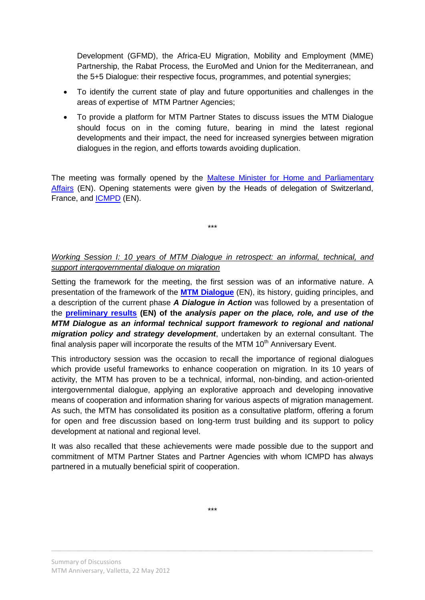Development (GFMD), the Africa-EU Migration, Mobility and Employment (MME) Partnership, the Rabat Process, the EuroMed and Union for the Mediterranean, and the 5+5 Dialogue: their respective focus, programmes, and potential synergies;

- To identify the current state of play and future opportunities and challenges in the areas of expertise of MTM Partner Agencies;
- To provide a platform for MTM Partner States to discuss issues the MTM Dialogue should focus on in the coming future, bearing in mind the latest regional developments and their impact, the need for increased synergies between migration dialogues in the region, and efforts towards avoiding duplication.

The meeting was formally opened by the [Maltese Minister for Home and Parliamentary](http://www.doi.gov.mt/en/press_releases/2012/05/pr1150.pdf)  [Affairs](http://www.doi.gov.mt/en/press_releases/2012/05/pr1150.pdf) (EN). Opening statements were given by the Heads of delegation of Switzerland, France, and **[ICMPD](http://www.icmpd.org/fileadmin/ICMPD-Website/ICMPD-Website_2011/ICMPD_General/DG_Speeches/2012-05-22_PW_speech_MTM_Anniversary_Malta_website.pdf)** (EN).

\*\*\*

## *Working Session I: 10 years of MTM Dialogue in retrospect: an informal, technical, and support intergovernmental dialogue on migration*

Setting the framework for the meeting, the first session was of an informative nature. A presentation of the framework of the **[MTM Dialogue](http://www.icmpd.org/MTM.1558.0.html)** (EN), its history, guiding principles, and a description of the current phase *A Dialogue in Action* was followed by a presentation of the **[preliminary results](https://www.imap-migration.org/fileadmin/Editor/Meeting_Doc/MTM_10th_Anniversary/Preliminary_Results_-_10th_Anniversary_MTM.pdf) (EN) of the** *analysis paper on the place, role, and use of the MTM Dialogue as an informal technical support framework to regional and national migration policy and strategy development*, undertaken by an external consultant. The final analysis paper will incorporate the results of the MTM  $10<sup>th</sup>$  Anniversary Event.

This introductory session was the occasion to recall the importance of regional dialogues which provide useful frameworks to enhance cooperation on migration. In its 10 years of activity, the MTM has proven to be a technical, informal, non-binding, and action-oriented intergovernmental dialogue, applying an explorative approach and developing innovative means of cooperation and information sharing for various aspects of migration management. As such, the MTM has consolidated its position as a consultative platform, offering a forum for open and free discussion based on long-term trust building and its support to policy development at national and regional level.

It was also recalled that these achievements were made possible due to the support and commitment of MTM Partner States and Partner Agencies with whom ICMPD has always partnered in a mutually beneficial spirit of cooperation.

\*\*\*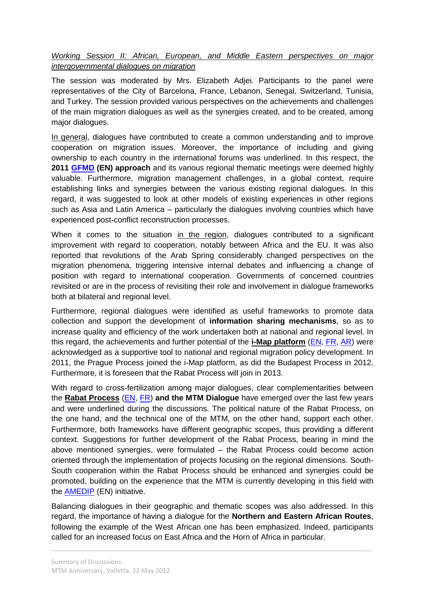*Working Session II: African, European, and Middle Eastern perspectives on major intergovernmental dialogues on migration*

The session was moderated by Mrs. Elizabeth Adjei. Participants to the panel were representatives of the City of Barcelona, France, Lebanon, Senegal, Switzerland, Tunisia, and Turkey. The session provided various perspectives on the achievements and challenges of the main migration dialogues as well as the synergies created, and to be created, among major dialogues.

In general, dialogues have contributed to create a common understanding and to improve cooperation on migration issues. Moreover, the importance of including and giving ownership to each country in the international forums was underlined. In this respect, the **2011 [GFMD](http://www.gfmd.org/en/) (EN) approach** and its various regional thematic meetings were deemed highly valuable. Furthermore, migration management challenges, in a global context, require establishing links and synergies between the various existing regional dialogues. In this regard, it was suggested to look at other models of existing experiences in other regions such as Asia and Latin America – particularly the dialogues involving countries which have experienced post-conflict reconstruction processes.

When it comes to the situation in the region, dialogues contributed to a significant improvement with regard to cooperation, notably between Africa and the EU. It was also reported that revolutions of the Arab Spring considerably changed perspectives on the migration phenomena, triggering intensive internal debates and influencing a change of position with regard to international cooperation. Governments of concerned countries revisited or are in the process of revisiting their role and involvement in dialogue frameworks both at bilateral and regional level.

Furthermore, regional dialogues were identified as useful frameworks to promote data collection and support the development of **information sharing mechanisms**, so as to increase quality and efficiency of the work undertaken both at national and regional level. In this regard, the achievements and further potential of the **i-Map platform** [\(EN,](http://www.imap-migration.org/index.php?id=2&L=0) [FR,](http://www.imap-migration.org/index.php?id=2&L=1) [AR\)](http://www.imap-migration.org/index.php?id=2&L=3) were acknowledged as a supportive tool to national and regional migration policy development. In 2011, the Prague Process joined the i-Map platform, as did the Budapest Process in 2012. Furthermore, it is foreseen that the Rabat Process will join in 2013.

With regard to cross-fertilization among major dialogues, clear complementarities between the **Rabat Process** [\(EN,](http://www.dialogueuroafricainmd.net/web/the-rabat-process) [FR\)](http://www.dialogueuroafricainmd.net/web/index.php/le-processus-de-rabat) **and the MTM Dialogue** have emerged over the last few years and were underlined during the discussions. The political nature of the Rabat Process, on the one hand, and the technical one of the MTM, on the other hand, support each other. Furthermore, both frameworks have different geographic scopes, thus providing a different context. Suggestions for further development of the Rabat Process, bearing in mind the above mentioned synergies, were formulated – the Rabat Process could become action oriented through the implementation of projects focusing on the regional dimensions. South-South cooperation within the Rabat Process should be enhanced and synergies could be promoted, building on the experience that the MTM is currently developing in this field with the [AMEDIP](http://www.icmpd.org/Strengthening-African-and-Middle-Eastern-Diaspora-Policy-through-South-South-Exchange-AMEDIP.1821.0.html) (EN) initiative.

Balancing dialogues in their geographic and thematic scopes was also addressed. In this regard, the importance of having a dialogue for the **Northern and Eastern African Routes**, following the example of the West African one has been emphasized. Indeed, participants called for an increased focus on East Africa and the Horn of Africa in particular.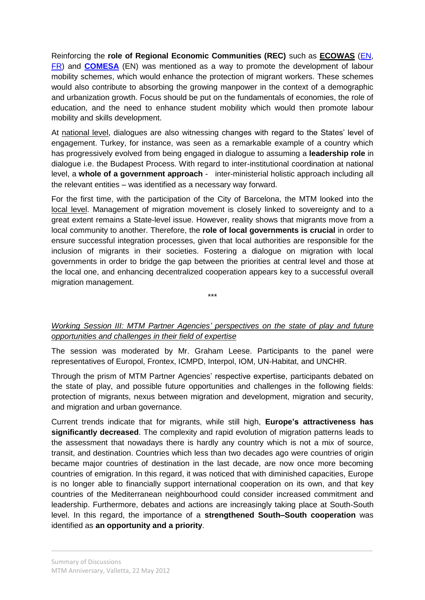Reinforcing the **role of Regional Economic Communities (REC)** such as **ECOWAS** [\(EN,](http://www.ecowas.int/) [FR\)](http://www.ecowas.int/?lang=fr) and **[COMESA](http://www.comesa.int/)** (EN) was mentioned as a way to promote the development of labour mobility schemes, which would enhance the protection of migrant workers. These schemes would also contribute to absorbing the growing manpower in the context of a demographic and urbanization growth. Focus should be put on the fundamentals of economies, the role of education, and the need to enhance student mobility which would then promote labour mobility and skills development.

At national level, dialogues are also witnessing changes with regard to the States' level of engagement. Turkey, for instance, was seen as a remarkable example of a country which has progressively evolved from being engaged in dialogue to assuming a **leadership role** in dialogue i.e. the Budapest Process. With regard to inter-institutional coordination at national level, a **whole of a government approach** - inter-ministerial holistic approach including all the relevant entities – was identified as a necessary way forward.

For the first time, with the participation of the City of Barcelona, the MTM looked into the local level. Management of migration movement is closely linked to sovereignty and to a great extent remains a State-level issue. However, reality shows that migrants move from a local community to another. Therefore, the **role of local governments is crucial** in order to ensure successful integration processes, given that local authorities are responsible for the inclusion of migrants in their societies. Fostering a dialogue on migration with local governments in order to bridge the gap between the priorities at central level and those at the local one, and enhancing decentralized cooperation appears key to a successful overall migration management.

*Working Session III: MTM Partner Agencies' perspectives on the state of play and future opportunities and challenges in their field of expertise*

\*\*\*

The session was moderated by Mr. Graham Leese. Participants to the panel were representatives of Europol, Frontex, ICMPD, Interpol, IOM, UN-Habitat, and UNCHR.

Through the prism of MTM Partner Agencies' respective expertise, participants debated on the state of play, and possible future opportunities and challenges in the following fields: protection of migrants, nexus between migration and development, migration and security, and migration and urban governance.

Current trends indicate that for migrants, while still high, **Europe's attractiveness has significantly decreased**. The complexity and rapid evolution of migration patterns leads to the assessment that nowadays there is hardly any country which is not a mix of source, transit, and destination. Countries which less than two decades ago were countries of origin became major countries of destination in the last decade, are now once more becoming countries of emigration. In this regard, it was noticed that with diminished capacities, Europe is no longer able to financially support international cooperation on its own, and that key countries of the Mediterranean neighbourhood could consider increased commitment and leadership. Furthermore, debates and actions are increasingly taking place at South-South level. In this regard, the importance of a **strengthened South–South cooperation** was identified as **an opportunity and a priority**.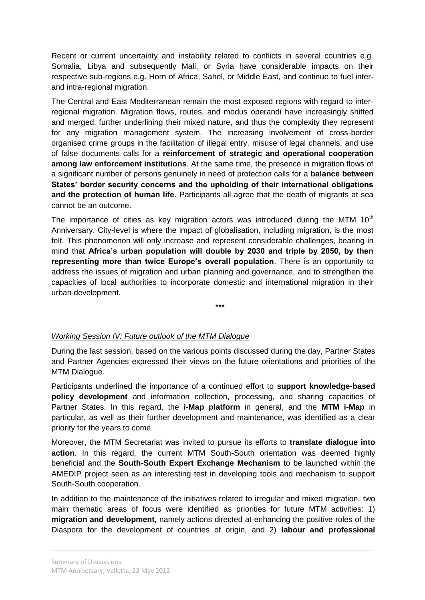Recent or current uncertainty and instability related to conflicts in several countries e.g. Somalia, Libya and subsequently Mali, or Syria have considerable impacts on their respective sub-regions e.g. Horn of Africa, Sahel, or Middle East, and continue to fuel interand intra-regional migration.

The Central and East Mediterranean remain the most exposed regions with regard to interregional migration. Migration flows, routes, and modus operandi have increasingly shifted and merged, further underlining their mixed nature, and thus the complexity they represent for any migration management system. The increasing involvement of cross-border organised crime groups in the facilitation of illegal entry, misuse of legal channels, and use of false documents calls for a **reinforcement of strategic and operational cooperation among law enforcement institutions**. At the same time, the presence in migration flows of a significant number of persons genuinely in need of protection calls for a **balance between States' border security concerns and the upholding of their international obligations and the protection of human life**. Participants all agree that the death of migrants at sea cannot be an outcome.

The importance of cities as key migration actors was introduced during the MTM  $10<sup>th</sup>$ Anniversary. City-level is where the impact of globalisation, including migration, is the most felt. This phenomenon will only increase and represent considerable challenges, bearing in mind that **Africa's urban population will double by 2030 and triple by 2050, by then representing more than twice Europe's overall population**. There is an opportunity to address the issues of migration and urban planning and governance, and to strengthen the capacities of local authorities to incorporate domestic and international migration in their urban development.

#### \*\*\*

### *Working Session IV: Future outlook of the MTM Dialogue*

During the last session, based on the various points discussed during the day, Partner States and Partner Agencies expressed their views on the future orientations and priorities of the MTM Dialogue.

Participants underlined the importance of a continued effort to **support knowledge-based policy development** and information collection, processing, and sharing capacities of Partner States. In this regard, the **i-Map platform** in general, and the **MTM i-Map** in particular, as well as their further development and maintenance, was identified as a clear priority for the years to come.

Moreover, the MTM Secretariat was invited to pursue its efforts to **translate dialogue into action**. In this regard, the current MTM South-South orientation was deemed highly beneficial and the **South-South Expert Exchange Mechanism** to be launched within the AMEDIP project seen as an interesting test in developing tools and mechanism to support South-South cooperation.

In addition to the maintenance of the initiatives related to irregular and mixed migration, two main thematic areas of focus were identified as priorities for future MTM activities: 1) **migration and development**, namely actions directed at enhancing the positive roles of the Diaspora for the development of countries of origin, and 2) **labour and professional**